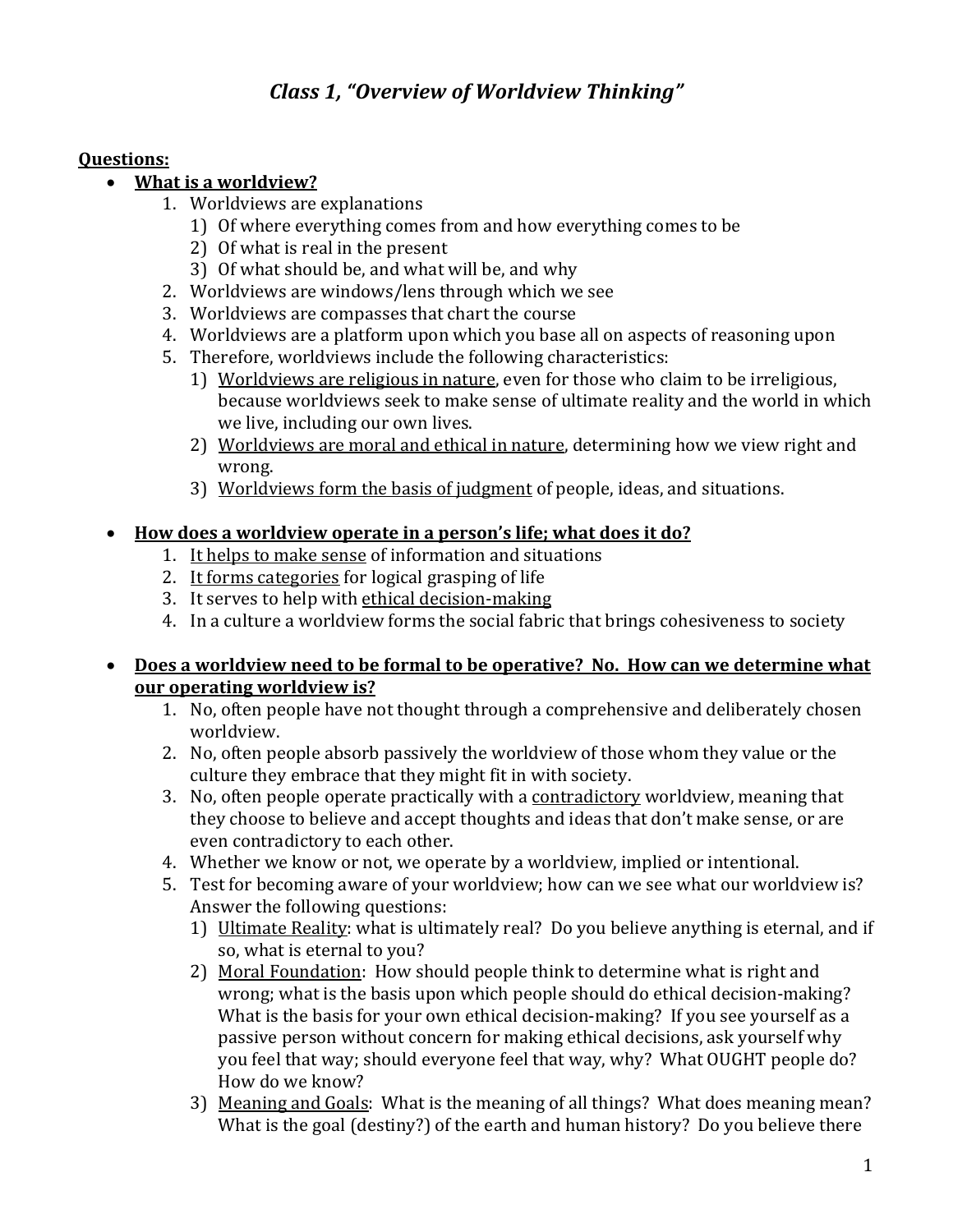# *Class 1, "Overview of Worldview Thinking"*

### **Questions:**

- **What is a worldview?** 
	- 1. Worldviews are explanations
		- 1) Of where everything comes from and how everything comes to be
		- 2) Of what is real in the present
		- 3) Of what should be, and what will be, and why
	- 2. Worldviews are windows/lens through which we see
	- 3. Worldviews are compasses that chart the course
	- 4. Worldviews are a platform upon which you base all on aspects of reasoning upon
	- 5. Therefore, worldviews include the following characteristics:
		- 1) Worldviews are religious in nature, even for those who claim to be irreligious, because worldviews seek to make sense of ultimate reality and the world in which we live, including our own lives.
		- 2) Worldviews are moral and ethical in nature, determining how we view right and wrong.
		- 3) Worldviews form the basis of judgment of people, ideas, and situations.

## • How does a worldview operate in a person's life; what does it do?

- 1. It helps to make sense of information and situations
- 2. It forms categories for logical grasping of life
- 3. It serves to help with ethical decision-making
- 4. In a culture a worldview forms the social fabric that brings cohesiveness to society

### • Does a worldview need to be formal to be operative? No. How can we determine what **our operating worldview is?**

- 1. No, often people have not thought through a comprehensive and deliberately chosen worldview.
- 2. No, often people absorb passively the worldview of those whom they value or the culture they embrace that they might fit in with society.
- 3. No, often people operate practically with a contradictory worldview, meaning that they choose to believe and accept thoughts and ideas that don't make sense, or are even contradictory to each other.
- 4. Whether we know or not, we operate by a worldview, implied or intentional.
- 5. Test for becoming aware of your worldview; how can we see what our worldview is? Answer the following questions:
	- 1) Ultimate Reality: what is ultimately real? Do you believe anything is eternal, and if so, what is eternal to you?
	- 2) Moral Foundation: How should people think to determine what is right and wrong; what is the basis upon which people should do ethical decision-making? What is the basis for your own ethical decision-making? If you see yourself as a passive person without concern for making ethical decisions, ask yourself why you feel that way; should everyone feel that way, why? What OUGHT people do? How do we know?
	- 3) Meaning and Goals: What is the meaning of all things? What does meaning mean? What is the goal (destiny?) of the earth and human history? Do you believe there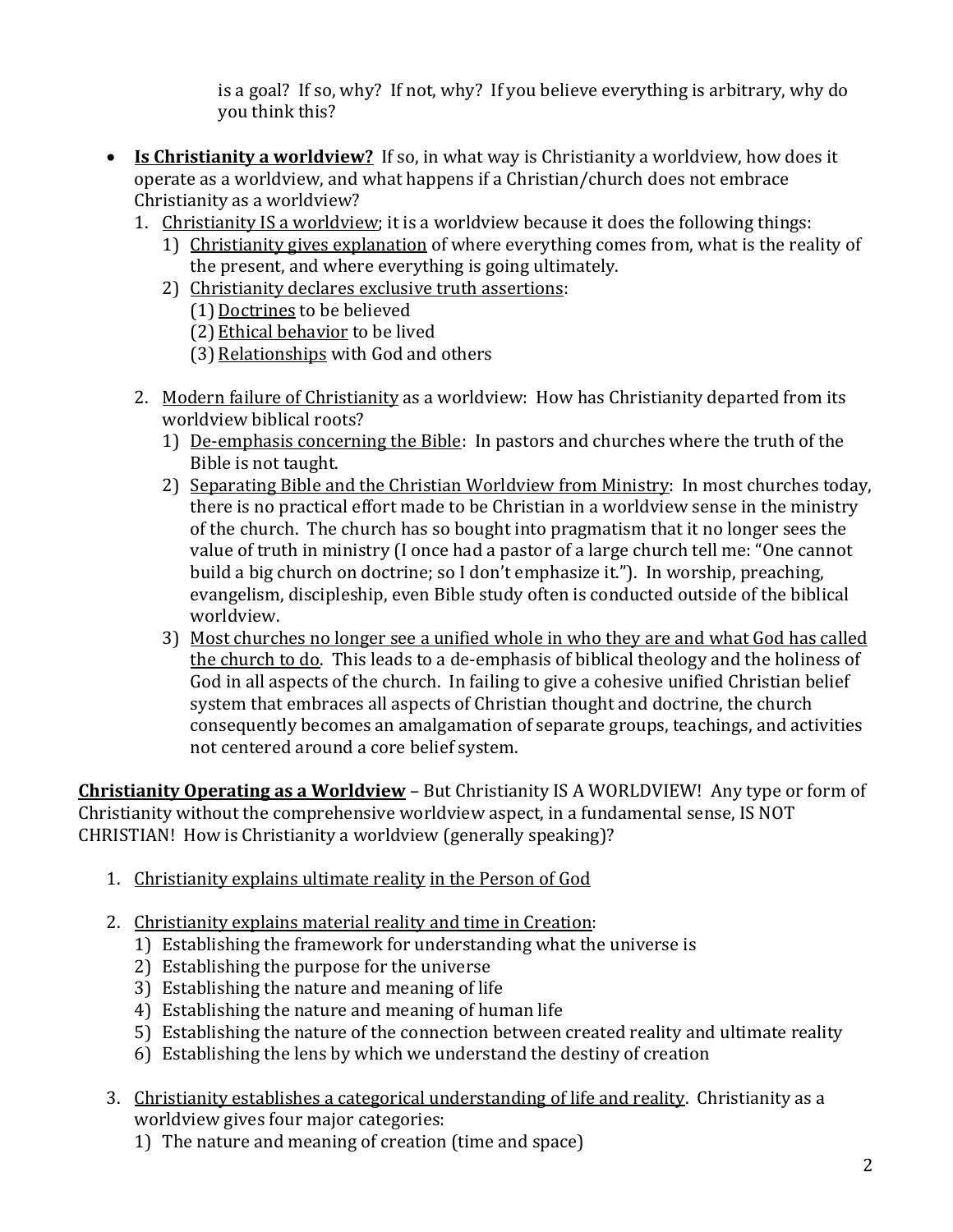is a goal? If so, why? If not, why? If you believe everything is arbitrary, why do you think this?

- **Is Christianity a worldview?** If so, in what way is Christianity a worldview, how does it operate as a worldview, and what happens if a Christian/church does not embrace Christianity as a worldview?
	- 1. Christianity IS a worldview; it is a worldview because it does the following things:
		- 1) Christianity gives explanation of where everything comes from, what is the reality of the present, and where everything is going ultimately.
		- 2) Christianity declares exclusive truth assertions:
			- (1) Doctrines to be believed
			- (2) Ethical behavior to be lived
			- (3) Relationships with God and others
	- 2. Modern failure of Christianity as a worldview: How has Christianity departed from its worldview biblical roots?
		- 1) De-emphasis concerning the Bible: In pastors and churches where the truth of the Bible is not taught.
		- 2) Separating Bible and the Christian Worldview from Ministry: In most churches today, there is no practical effort made to be Christian in a worldview sense in the ministry of the church. The church has so bought into pragmatism that it no longer sees the value of truth in ministry (I once had a pastor of a large church tell me: "One cannot build a big church on doctrine; so I don't emphasize it."). In worship, preaching, evangelism, discipleship, even Bible study often is conducted outside of the biblical worldview.
		- 3) Most churches no longer see a unified whole in who they are and what God has called the church to do. This leads to a de-emphasis of biblical theology and the holiness of God in all aspects of the church. In failing to give a cohesive unified Christian belief system that embraces all aspects of Christian thought and doctrine, the church consequently becomes an amalgamation of separate groups, teachings, and activities not centered around a core belief system.

**Christianity Operating as a Worldview** – But Christianity IS A WORLDVIEW! Any type or form of Christianity without the comprehensive worldview aspect, in a fundamental sense, IS NOT CHRISTIAN! How is Christianity a worldview (generally speaking)?

- 1. Christianity explains ultimate reality in the Person of God
- 2. Christianity explains material reality and time in Creation:
	- 1) Establishing the framework for understanding what the universe is
	- 2) Establishing the purpose for the universe
	- 3) Establishing the nature and meaning of life
	- 4) Establishing the nature and meaning of human life
	- 5) Establishing the nature of the connection between created reality and ultimate reality
	- 6) Establishing the lens by which we understand the destiny of creation
- 3. Christianity establishes a categorical understanding of life and reality. Christianity as a worldview gives four major categories:
	- 1) The nature and meaning of creation (time and space)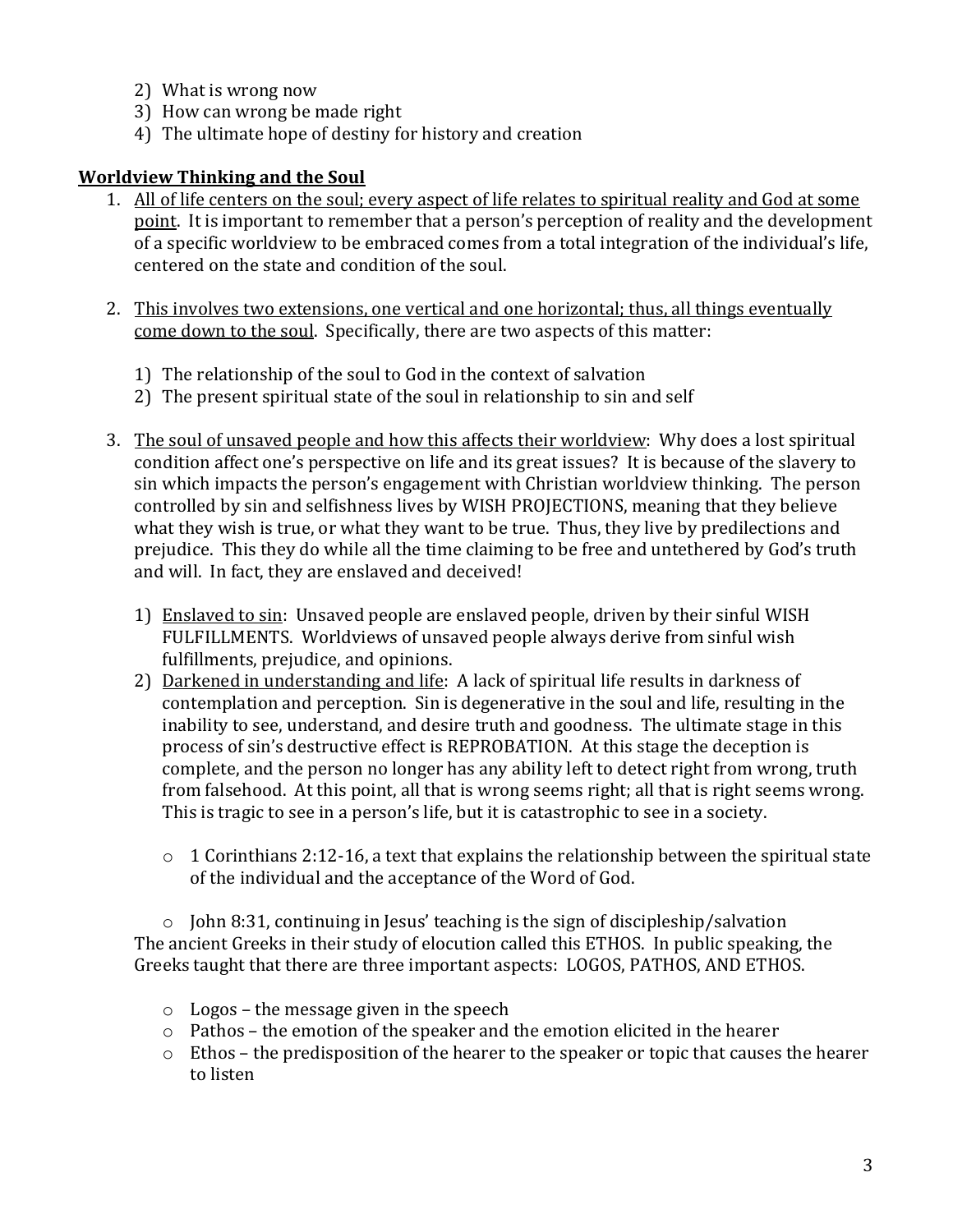- 2) What is wrong now
- 3) How can wrong be made right
- 4) The ultimate hope of destiny for history and creation

### **Worldview Thinking and the Soul**

- 1. All of life centers on the soul; every aspect of life relates to spiritual reality and God at some point. It is important to remember that a person's perception of reality and the development of a specific worldview to be embraced comes from a total integration of the individual's life, centered on the state and condition of the soul.
- 2. This involves two extensions, one vertical and one horizontal; thus, all things eventually come down to the soul. Specifically, there are two aspects of this matter:
	- 1) The relationship of the soul to God in the context of salvation
	- 2) The present spiritual state of the soul in relationship to sin and self
- 3. The soul of unsaved people and how this affects their worldview: Why does a lost spiritual condition affect one's perspective on life and its great issues? It is because of the slavery to sin which impacts the person's engagement with Christian worldview thinking. The person controlled by sin and selfishness lives by WISH PROJECTIONS, meaning that they believe what they wish is true, or what they want to be true. Thus, they live by predilections and prejudice. This they do while all the time claiming to be free and untethered by God's truth and will. In fact, they are enslaved and deceived!
	- 1) Enslaved to sin: Unsaved people are enslaved people, driven by their sinful WISH FULFILLMENTS. Worldviews of unsaved people always derive from sinful wish fulfillments, prejudice, and opinions.
	- 2) Darkened in understanding and life: A lack of spiritual life results in darkness of contemplation and perception. Sin is degenerative in the soul and life, resulting in the inability to see, understand, and desire truth and goodness. The ultimate stage in this process of sin's destructive effect is REPROBATION. At this stage the deception is complete, and the person no longer has any ability left to detect right from wrong, truth from falsehood. At this point, all that is wrong seems right; all that is right seems wrong. This is tragic to see in a person's life, but it is catastrophic to see in a society.
		- $\circ$  1 Corinthians 2:12-16, a text that explains the relationship between the spiritual state of the individual and the acceptance of the Word of God.

 $\circ$  John 8:31, continuing in Jesus' teaching is the sign of discipleship/salvation The ancient Greeks in their study of elocution called this ETHOS. In public speaking, the Greeks taught that there are three important aspects: LOGOS, PATHOS, AND ETHOS.

- $\circ$  Logos the message given in the speech
- $\circ$  Pathos the emotion of the speaker and the emotion elicited in the hearer
- $\circ$  Ethos the predisposition of the hearer to the speaker or topic that causes the hearer to listen